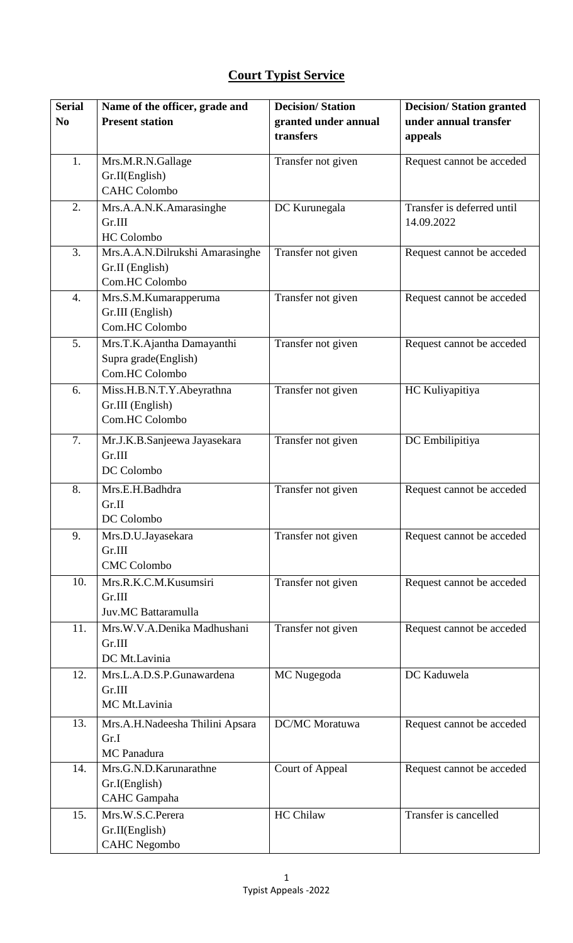## **Court Typist Service**

| <b>Serial</b>    | Name of the officer, grade and            | <b>Decision/Station</b> | <b>Decision/Station granted</b> |
|------------------|-------------------------------------------|-------------------------|---------------------------------|
| N <sub>0</sub>   | <b>Present station</b>                    | granted under annual    | under annual transfer           |
|                  |                                           | transfers               | appeals                         |
| 1.               | Mrs.M.R.N.Gallage                         | Transfer not given      | Request cannot be acceded       |
|                  | Gr.II(English)                            |                         |                                 |
|                  | <b>CAHC Colombo</b>                       |                         |                                 |
|                  |                                           |                         | Transfer is deferred until      |
| 2.               | Mrs.A.A.N.K.Amarasinghe                   | DC Kurunegala           |                                 |
|                  | Gr.III                                    |                         | 14.09.2022                      |
| 3.               | <b>HC</b> Colombo                         |                         |                                 |
|                  | Mrs.A.A.N.Dilrukshi Amarasinghe           | Transfer not given      | Request cannot be acceded       |
|                  | Gr.II (English)<br>Com.HC Colombo         |                         |                                 |
| $\overline{4}$ . |                                           | Transfer not given      | Request cannot be acceded       |
|                  | Mrs.S.M.Kumarapperuma<br>Gr.III (English) |                         |                                 |
|                  | Com.HC Colombo                            |                         |                                 |
| 5.               |                                           |                         |                                 |
|                  | Mrs.T.K.Ajantha Damayanthi                | Transfer not given      | Request cannot be acceded       |
|                  | Supra grade(English)<br>Com.HC Colombo    |                         |                                 |
|                  |                                           |                         |                                 |
| 6.               | Miss.H.B.N.T.Y.Abeyrathna                 | Transfer not given      | HC Kuliyapitiya                 |
|                  | Gr.III (English)<br>Com.HC Colombo        |                         |                                 |
|                  |                                           |                         |                                 |
| 7.               | Mr.J.K.B.Sanjeewa Jayasekara              | Transfer not given      | DC Embilipitiya                 |
|                  | Gr.III                                    |                         |                                 |
|                  | DC Colombo                                |                         |                                 |
| 8.               | Mrs.E.H.Badhdra                           | Transfer not given      | Request cannot be acceded       |
|                  | Gr.II                                     |                         |                                 |
|                  | DC Colombo                                |                         |                                 |
| 9.               | Mrs.D.U.Jayasekara                        | Transfer not given      | Request cannot be acceded       |
|                  | Gr.III                                    |                         |                                 |
|                  | <b>CMC Colombo</b>                        |                         |                                 |
| 10.              | Mrs.R.K.C.M.Kusumsiri                     | Transfer not given      | Request cannot be acceded       |
|                  | Gr.III                                    |                         |                                 |
|                  | Juv.MC Battaramulla                       |                         |                                 |
| 11.              | Mrs.W.V.A.Denika Madhushani               | Transfer not given      | Request cannot be acceded       |
|                  | Gr.III                                    |                         |                                 |
|                  | DC Mt.Lavinia                             |                         |                                 |
| 12.              | Mrs.L.A.D.S.P.Gunawardena                 | MC Nugegoda             | DC Kaduwela                     |
|                  | Gr.III                                    |                         |                                 |
|                  | MC Mt.Lavinia                             |                         |                                 |
| 13.              | Mrs.A.H.Nadeesha Thilini Apsara           | DC/MC Moratuwa          | Request cannot be acceded       |
|                  | Gr.I                                      |                         |                                 |
|                  | MC Panadura                               |                         |                                 |
| 14.              | Mrs.G.N.D.Karunarathne                    | Court of Appeal         | Request cannot be acceded       |
|                  | Gr.I(English)                             |                         |                                 |
|                  | <b>CAHC</b> Gampaha                       |                         |                                 |
| 15.              | Mrs.W.S.C.Perera                          | <b>HC</b> Chilaw        | Transfer is cancelled           |
|                  | Gr.II(English)                            |                         |                                 |
|                  | <b>CAHC</b> Negombo                       |                         |                                 |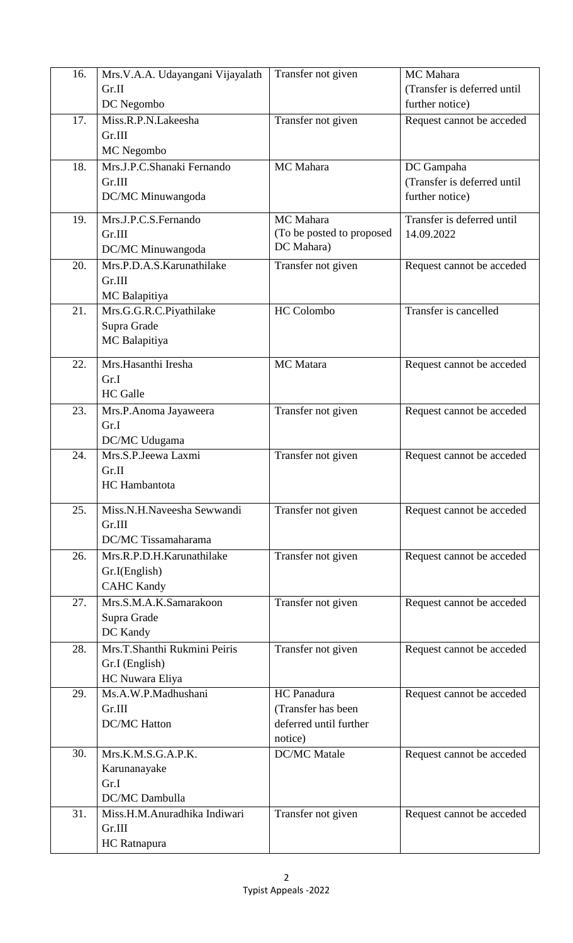| 16. | Mrs.V.A.A. Udayangani Vijayalath | Transfer not given             | MC Mahara                   |
|-----|----------------------------------|--------------------------------|-----------------------------|
|     | Gr.II                            |                                | (Transfer is deferred until |
|     | DC Negombo                       |                                | further notice)             |
| 17. | Miss.R.P.N.Lakeesha              | Transfer not given             | Request cannot be acceded   |
|     | Gr.III                           |                                |                             |
|     | MC Negombo                       |                                |                             |
| 18. | Mrs.J.P.C.Shanaki Fernando       | MC Mahara                      | DC Gampaha                  |
|     | Gr.III                           |                                | (Transfer is deferred until |
|     | DC/MC Minuwangoda                |                                | further notice)             |
| 19. | Mrs.J.P.C.S.Fernando             | MC Mahara                      | Transfer is deferred until  |
|     | Gr.III                           | (To be posted to proposed      | 14.09.2022                  |
|     | DC/MC Minuwangoda                | DC Mahara)                     |                             |
| 20. | Mrs.P.D.A.S.Karunathilake        | Transfer not given             | Request cannot be acceded   |
|     | Gr.III                           |                                |                             |
|     | MC Balapitiya                    |                                |                             |
| 21. | Mrs.G.G.R.C.Piyathilake          | <b>HC</b> Colombo              | Transfer is cancelled       |
|     | Supra Grade                      |                                |                             |
|     | MC Balapitiya                    |                                |                             |
| 22. | Mrs.Hasanthi Iresha              | MC Matara                      | Request cannot be acceded   |
|     | Gr.I                             |                                |                             |
|     | <b>HC</b> Galle                  |                                |                             |
| 23. | Mrs.P.Anoma Jayaweera            | Transfer not given             | Request cannot be acceded   |
|     | Gr.I                             |                                |                             |
|     | DC/MC Udugama                    |                                |                             |
| 24. | Mrs.S.P.Jeewa Laxmi              | Transfer not given             | Request cannot be acceded   |
|     | Gr.II                            |                                |                             |
|     | <b>HC</b> Hambantota             |                                |                             |
| 25. | Miss.N.H.Naveesha Sewwandi       | Transfer not given             | Request cannot be acceded   |
|     | Gr.III                           |                                |                             |
|     | DC/MC Tissamaharama              |                                |                             |
| 26. | Mrs.R.P.D.H.Karunathilake        | Transfer not given             | Request cannot be acceded   |
|     | Gr.I(English)                    |                                |                             |
|     | <b>CAHC Kandy</b>                |                                |                             |
| 27. | Mrs.S.M.A.K.Samarakoon           | Transfer not given             | Request cannot be acceded   |
|     | Supra Grade                      |                                |                             |
|     | DC Kandy                         |                                |                             |
| 28. | Mrs.T.Shanthi Rukmini Peiris     | Transfer not given             | Request cannot be acceded   |
|     | Gr.I (English)                   |                                |                             |
|     | HC Nuwara Eliya                  |                                |                             |
| 29. | Ms.A.W.P.Madhushani              | HC Panadura                    | Request cannot be acceded   |
|     | Gr.III                           | (Transfer has been             |                             |
|     | <b>DC/MC Hatton</b>              | deferred until further         |                             |
| 30. | Mrs.K.M.S.G.A.P.K.               | notice)<br><b>DC/MC</b> Matale |                             |
|     |                                  |                                | Request cannot be acceded   |
|     | Karunanayake<br>Gr.I             |                                |                             |
|     | DC/MC Dambulla                   |                                |                             |
| 31. | Miss.H.M.Anuradhika Indiwari     | Transfer not given             | Request cannot be acceded   |
|     | Gr.III                           |                                |                             |
|     | HC Ratnapura                     |                                |                             |
|     |                                  |                                |                             |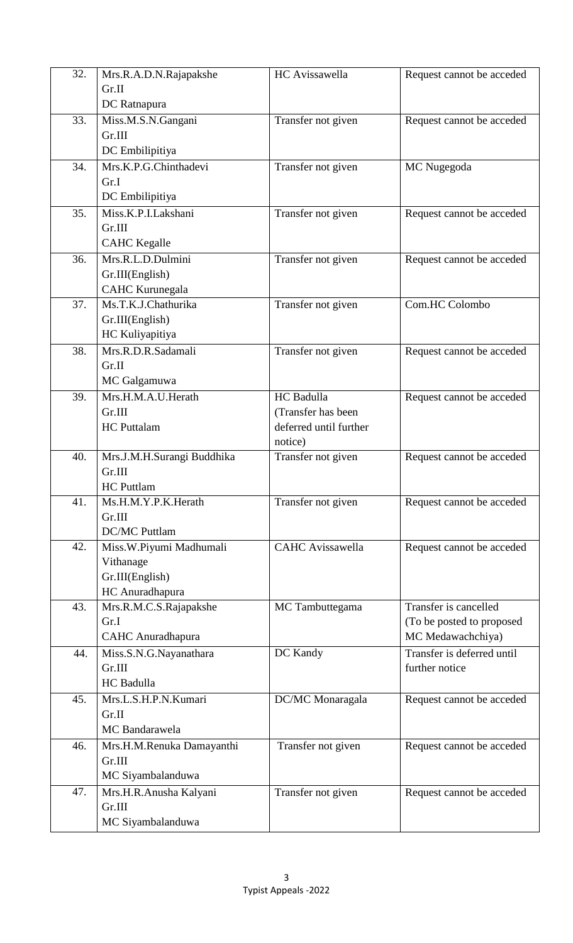| 32. | Mrs.R.A.D.N.Rajapakshe        | HC Avissawella                               | Request cannot be acceded  |
|-----|-------------------------------|----------------------------------------------|----------------------------|
|     | Gr.II                         |                                              |                            |
|     | DC Ratnapura                  |                                              |                            |
| 33. | Miss.M.S.N.Gangani            | Transfer not given                           | Request cannot be acceded  |
|     | Gr.III                        |                                              |                            |
|     | DC Embilipitiya               |                                              |                            |
| 34. | Mrs.K.P.G.Chinthadevi         | Transfer not given                           | MC Nugegoda                |
|     | Gr.I                          |                                              |                            |
|     | DC Embilipitiya               |                                              |                            |
| 35. | Miss.K.P.I.Lakshani           | Transfer not given                           | Request cannot be acceded  |
|     | Gr.III                        |                                              |                            |
|     | <b>CAHC</b> Kegalle           |                                              |                            |
| 36. | Mrs.R.L.D.Dulmini             | Transfer not given                           | Request cannot be acceded  |
|     | Gr.III(English)               |                                              |                            |
|     | CAHC Kurunegala               |                                              |                            |
| 37. | Ms.T.K.J.Chathurika           | Transfer not given                           | Com.HC Colombo             |
|     | Gr.III(English)               |                                              |                            |
|     | HC Kuliyapitiya               |                                              |                            |
| 38. | Mrs.R.D.R.Sadamali            | Transfer not given                           | Request cannot be acceded  |
|     | Gr.II                         |                                              |                            |
|     | MC Galgamuwa                  |                                              |                            |
| 39. | Mrs.H.M.A.U.Herath            | HC Badulla                                   | Request cannot be acceded  |
|     | Gr.III<br><b>HC</b> Puttalam  | (Transfer has been<br>deferred until further |                            |
|     |                               | notice)                                      |                            |
| 40. | Mrs.J.M.H.Surangi Buddhika    | Transfer not given                           | Request cannot be acceded  |
|     | Gr.III                        |                                              |                            |
|     | <b>HC</b> Puttlam             |                                              |                            |
| 41. | Ms.H.M.Y.P.K.Herath           | Transfer not given                           | Request cannot be acceded  |
|     | Gr.III                        |                                              |                            |
|     | <b>DC/MC Puttlam</b>          |                                              |                            |
| 42. | Miss.W.Piyumi Madhumali       | <b>CAHC</b> Avissawella                      | Request cannot be acceded  |
|     | Vithanage                     |                                              |                            |
|     | Gr.III(English)               |                                              |                            |
|     | HC Anuradhapura               |                                              |                            |
| 43. | Mrs.R.M.C.S.Rajapakshe        | MC Tambuttegama                              | Transfer is cancelled      |
|     | Gr.I                          |                                              | (To be posted to proposed  |
|     | <b>CAHC</b> Anuradhapura      |                                              | MC Medawachchiya)          |
| 44. | Miss.S.N.G.Nayanathara        | DC Kandy                                     | Transfer is deferred until |
|     | Gr.III<br>HC Badulla          |                                              | further notice             |
| 45. |                               |                                              |                            |
|     | Mrs.L.S.H.P.N.Kumari<br>Gr.II | DC/MC Monaragala                             | Request cannot be acceded  |
|     | <b>MC</b> Bandarawela         |                                              |                            |
| 46. | Mrs.H.M.Renuka Damayanthi     | Transfer not given                           |                            |
|     | Gr.III                        |                                              | Request cannot be acceded  |
|     | MC Siyambalanduwa             |                                              |                            |
| 47. | Mrs.H.R.Anusha Kalyani        | Transfer not given                           | Request cannot be acceded  |
|     | Gr.III                        |                                              |                            |
|     | MC Siyambalanduwa             |                                              |                            |
|     |                               |                                              |                            |